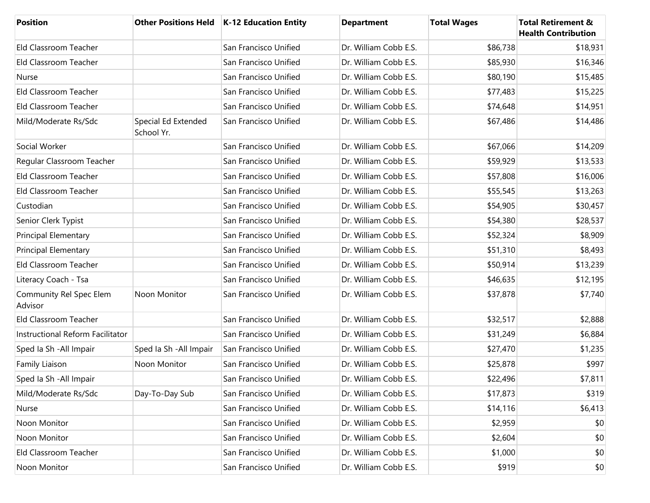| Position                           |                                   | Other Positions Held   K-12 Education Entity | <b>Department</b>     | <b>Total Wages</b> | <b>Total Retirement &amp;</b><br><b>Health Contribution</b> |
|------------------------------------|-----------------------------------|----------------------------------------------|-----------------------|--------------------|-------------------------------------------------------------|
| Eld Classroom Teacher              |                                   | San Francisco Unified                        | Dr. William Cobb E.S. | \$86,738           | \$18,931                                                    |
| Eld Classroom Teacher              |                                   | San Francisco Unified                        | Dr. William Cobb E.S. | \$85,930           | \$16,346                                                    |
| Nurse                              |                                   | San Francisco Unified                        | Dr. William Cobb E.S. | \$80,190           | \$15,485                                                    |
| Eld Classroom Teacher              |                                   | San Francisco Unified                        | Dr. William Cobb E.S. | \$77,483           | \$15,225                                                    |
| Eld Classroom Teacher              |                                   | San Francisco Unified                        | Dr. William Cobb E.S. | \$74,648           | \$14,951                                                    |
| Mild/Moderate Rs/Sdc               | Special Ed Extended<br>School Yr. | San Francisco Unified                        | Dr. William Cobb E.S. | \$67,486           | \$14,486                                                    |
| Social Worker                      |                                   | San Francisco Unified                        | Dr. William Cobb E.S. | \$67,066           | \$14,209                                                    |
| Regular Classroom Teacher          |                                   | San Francisco Unified                        | Dr. William Cobb E.S. | \$59,929           | \$13,533                                                    |
| Eld Classroom Teacher              |                                   | San Francisco Unified                        | Dr. William Cobb E.S. | \$57,808           | \$16,006                                                    |
| Eld Classroom Teacher              |                                   | San Francisco Unified                        | Dr. William Cobb E.S. | \$55,545           | \$13,263                                                    |
| Custodian                          |                                   | San Francisco Unified                        | Dr. William Cobb E.S. | \$54,905           | \$30,457                                                    |
| Senior Clerk Typist                |                                   | San Francisco Unified                        | Dr. William Cobb E.S. | \$54,380           | \$28,537                                                    |
| <b>Principal Elementary</b>        |                                   | San Francisco Unified                        | Dr. William Cobb E.S. | \$52,324           | \$8,909                                                     |
| <b>Principal Elementary</b>        |                                   | San Francisco Unified                        | Dr. William Cobb E.S. | \$51,310           | \$8,493                                                     |
| Eld Classroom Teacher              |                                   | San Francisco Unified                        | Dr. William Cobb E.S. | \$50,914           | \$13,239                                                    |
| Literacy Coach - Tsa               |                                   | San Francisco Unified                        | Dr. William Cobb E.S. | \$46,635           | \$12,195                                                    |
| Community Rel Spec Elem<br>Advisor | Noon Monitor                      | San Francisco Unified                        | Dr. William Cobb E.S. | \$37,878           | \$7,740                                                     |
| Eld Classroom Teacher              |                                   | San Francisco Unified                        | Dr. William Cobb E.S. | \$32,517           | \$2,888                                                     |
| Instructional Reform Facilitator   |                                   | San Francisco Unified                        | Dr. William Cobb E.S. | \$31,249           | \$6,884                                                     |
| Sped Ia Sh - All Impair            | Sped Ia Sh - All Impair           | San Francisco Unified                        | Dr. William Cobb E.S. | \$27,470           | \$1,235                                                     |
| Family Liaison                     | Noon Monitor                      | San Francisco Unified                        | Dr. William Cobb E.S. | \$25,878           | \$997                                                       |
| Sped Ia Sh - All Impair            |                                   | San Francisco Unified                        | Dr. William Cobb E.S. | \$22,496           | \$7,811                                                     |
| Mild/Moderate Rs/Sdc               | Day-To-Day Sub                    | San Francisco Unified                        | Dr. William Cobb E.S. | \$17,873           | \$319                                                       |
| Nurse                              |                                   | San Francisco Unified                        | Dr. William Cobb E.S. | \$14,116           | \$6,413                                                     |
| Noon Monitor                       |                                   | San Francisco Unified                        | Dr. William Cobb E.S. | \$2,959            | \$0                                                         |
| Noon Monitor                       |                                   | San Francisco Unified                        | Dr. William Cobb E.S. | \$2,604            | \$0                                                         |
| Eld Classroom Teacher              |                                   | San Francisco Unified                        | Dr. William Cobb E.S. | \$1,000            | \$0                                                         |
| Noon Monitor                       |                                   | San Francisco Unified                        | Dr. William Cobb E.S. | \$919              | \$0                                                         |